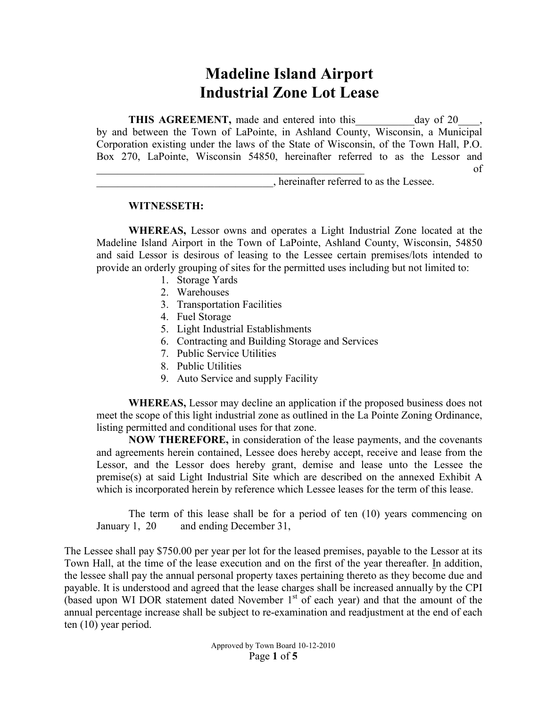# **Madeline Island Airport Industrial Zone Lot Lease**

**THIS AGREEMENT,** made and entered into this day of 20 by and between the Town of LaPointe, in Ashland County, Wisconsin, a Municipal Corporation existing under the laws of the State of Wisconsin, of the Town Hall, P.O. Box 270, LaPointe, Wisconsin 54850, hereinafter referred to as the Lessor and  $\circ$  of

\_\_\_\_\_\_\_\_\_\_\_\_\_\_\_\_\_\_\_\_\_\_\_\_\_\_\_\_\_\_\_\_\_, hereinafter referred to as the Lessee.

## **WITNESSETH:**

**WHEREAS,** Lessor owns and operates a Light Industrial Zone located at the Madeline Island Airport in the Town of LaPointe, Ashland County, Wisconsin, 54850 and said Lessor is desirous of leasing to the Lessee certain premises/lots intended to provide an orderly grouping of sites for the permitted uses including but not limited to:

- 1. Storage Yards
- 2. Warehouses
- 3. Transportation Facilities
- 4. Fuel Storage
- 5. Light Industrial Establishments
- 6. Contracting and Building Storage and Services
- 7. Public Service Utilities
- 8. Public Utilities
- 9. Auto Service and supply Facility

**WHEREAS,** Lessor may decline an application if the proposed business does not meet the scope of this light industrial zone as outlined in the La Pointe Zoning Ordinance, listing permitted and conditional uses for that zone.

**NOW THEREFORE,** in consideration of the lease payments, and the covenants and agreements herein contained, Lessee does hereby accept, receive and lease from the Lessor, and the Lessor does hereby grant, demise and lease unto the Lessee the premise(s) at said Light Industrial Site which are described on the annexed Exhibit A which is incorporated herein by reference which Lessee leases for the term of this lease.

The term of this lease shall be for a period of ten (10) years commencing on January 1, 20 and ending December 31,

The Lessee shall pay \$750.00 per year per lot for the leased premises, payable to the Lessor at its Town Hall, at the time of the lease execution and on the first of the year thereafter. In addition, the lessee shall pay the annual personal property taxes pertaining thereto as they become due and payable. It is understood and agreed that the lease charges shall be increased annually by the CPI (based upon WI DOR statement dated November  $1<sup>st</sup>$  of each year) and that the amount of the annual percentage increase shall be subject to re-examination and readjustment at the end of each ten (10) year period.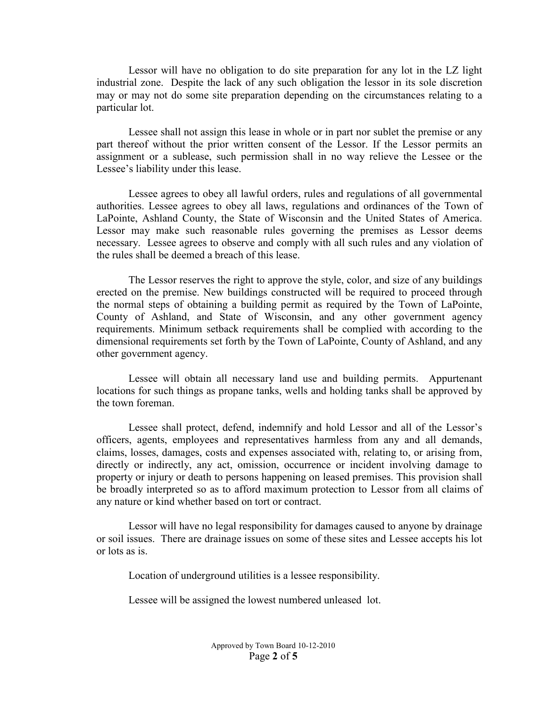Lessor will have no obligation to do site preparation for any lot in the LZ light industrial zone. Despite the lack of any such obligation the lessor in its sole discretion may or may not do some site preparation depending on the circumstances relating to a particular lot.

Lessee shall not assign this lease in whole or in part nor sublet the premise or any part thereof without the prior written consent of the Lessor. If the Lessor permits an assignment or a sublease, such permission shall in no way relieve the Lessee or the Lessee's liability under this lease.

Lessee agrees to obey all lawful orders, rules and regulations of all governmental authorities. Lessee agrees to obey all laws, regulations and ordinances of the Town of LaPointe, Ashland County, the State of Wisconsin and the United States of America. Lessor may make such reasonable rules governing the premises as Lessor deems necessary. Lessee agrees to observe and comply with all such rules and any violation of the rules shall be deemed a breach of this lease.

The Lessor reserves the right to approve the style, color, and size of any buildings erected on the premise. New buildings constructed will be required to proceed through the normal steps of obtaining a building permit as required by the Town of LaPointe, County of Ashland, and State of Wisconsin, and any other government agency requirements. Minimum setback requirements shall be complied with according to the dimensional requirements set forth by the Town of LaPointe, County of Ashland, and any other government agency.

Lessee will obtain all necessary land use and building permits. Appurtenant locations for such things as propane tanks, wells and holding tanks shall be approved by the town foreman.

Lessee shall protect, defend, indemnify and hold Lessor and all of the Lessor's officers, agents, employees and representatives harmless from any and all demands, claims, losses, damages, costs and expenses associated with, relating to, or arising from, directly or indirectly, any act, omission, occurrence or incident involving damage to property or injury or death to persons happening on leased premises. This provision shall be broadly interpreted so as to afford maximum protection to Lessor from all claims of any nature or kind whether based on tort or contract.

Lessor will have no legal responsibility for damages caused to anyone by drainage or soil issues. There are drainage issues on some of these sites and Lessee accepts his lot or lots as is.

Location of underground utilities is a lessee responsibility.

Lessee will be assigned the lowest numbered unleased lot.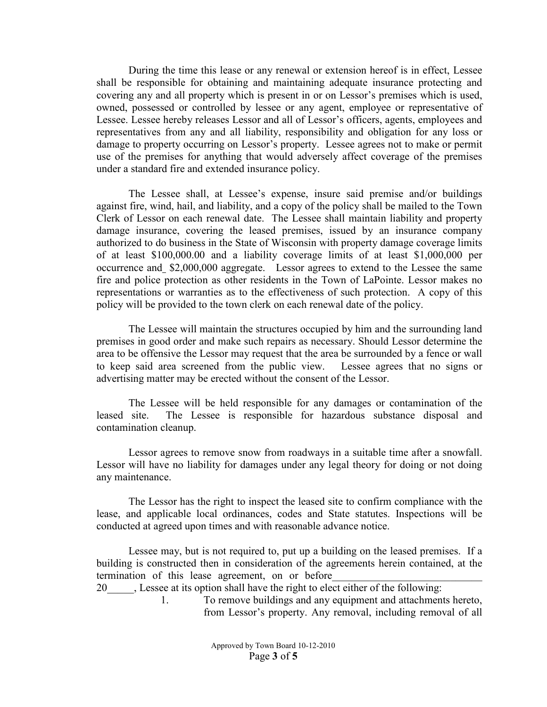During the time this lease or any renewal or extension hereof is in effect, Lessee shall be responsible for obtaining and maintaining adequate insurance protecting and covering any and all property which is present in or on Lessor's premises which is used, owned, possessed or controlled by lessee or any agent, employee or representative of Lessee. Lessee hereby releases Lessor and all of Lessor's officers, agents, employees and representatives from any and all liability, responsibility and obligation for any loss or damage to property occurring on Lessor's property. Lessee agrees not to make or permit use of the premises for anything that would adversely affect coverage of the premises under a standard fire and extended insurance policy.

The Lessee shall, at Lessee's expense, insure said premise and/or buildings against fire, wind, hail, and liability, and a copy of the policy shall be mailed to the Town Clerk of Lessor on each renewal date. The Lessee shall maintain liability and property damage insurance, covering the leased premises, issued by an insurance company authorized to do business in the State of Wisconsin with property damage coverage limits of at least \$100,000.00 and a liability coverage limits of at least \$1,000,000 per occurrence and \$2,000,000 aggregate. Lessor agrees to extend to the Lessee the same fire and police protection as other residents in the Town of LaPointe. Lessor makes no representations or warranties as to the effectiveness of such protection. A copy of this policy will be provided to the town clerk on each renewal date of the policy.

The Lessee will maintain the structures occupied by him and the surrounding land premises in good order and make such repairs as necessary. Should Lessor determine the area to be offensive the Lessor may request that the area be surrounded by a fence or wall to keep said area screened from the public view. Lessee agrees that no signs or advertising matter may be erected without the consent of the Lessor.

The Lessee will be held responsible for any damages or contamination of the leased site. The Lessee is responsible for hazardous substance disposal and contamination cleanup.

Lessor agrees to remove snow from roadways in a suitable time after a snowfall. Lessor will have no liability for damages under any legal theory for doing or not doing any maintenance.

The Lessor has the right to inspect the leased site to confirm compliance with the lease, and applicable local ordinances, codes and State statutes. Inspections will be conducted at agreed upon times and with reasonable advance notice.

Lessee may, but is not required to, put up a building on the leased premises. If a building is constructed then in consideration of the agreements herein contained, at the termination of this lease agreement, on or before

20\_\_\_\_\_, Lessee at its option shall have the right to elect either of the following:

1. To remove buildings and any equipment and attachments hereto, from Lessor's property. Any removal, including removal of all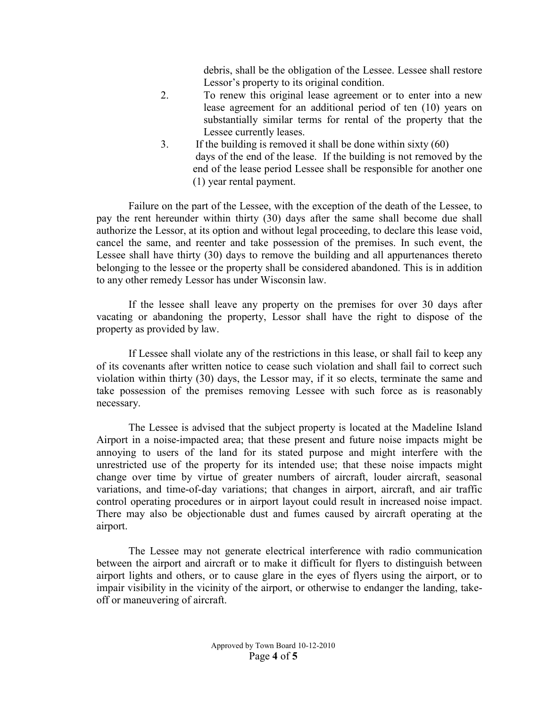debris, shall be the obligation of the Lessee. Lessee shall restore Lessor's property to its original condition.

- 2. To renew this original lease agreement or to enter into a new lease agreement for an additional period of ten (10) years on substantially similar terms for rental of the property that the Lessee currently leases.
- 3. If the building is removed it shall be done within sixty (60) days of the end of the lease. If the building is not removed by the end of the lease period Lessee shall be responsible for another one (1) year rental payment.

Failure on the part of the Lessee, with the exception of the death of the Lessee, to pay the rent hereunder within thirty (30) days after the same shall become due shall authorize the Lessor, at its option and without legal proceeding, to declare this lease void, cancel the same, and reenter and take possession of the premises. In such event, the Lessee shall have thirty (30) days to remove the building and all appurtenances thereto belonging to the lessee or the property shall be considered abandoned. This is in addition to any other remedy Lessor has under Wisconsin law.

If the lessee shall leave any property on the premises for over 30 days after vacating or abandoning the property, Lessor shall have the right to dispose of the property as provided by law.

If Lessee shall violate any of the restrictions in this lease, or shall fail to keep any of its covenants after written notice to cease such violation and shall fail to correct such violation within thirty (30) days, the Lessor may, if it so elects, terminate the same and take possession of the premises removing Lessee with such force as is reasonably necessary.

The Lessee is advised that the subject property is located at the Madeline Island Airport in a noise-impacted area; that these present and future noise impacts might be annoying to users of the land for its stated purpose and might interfere with the unrestricted use of the property for its intended use; that these noise impacts might change over time by virtue of greater numbers of aircraft, louder aircraft, seasonal variations, and time-of-day variations; that changes in airport, aircraft, and air traffic control operating procedures or in airport layout could result in increased noise impact. There may also be objectionable dust and fumes caused by aircraft operating at the airport.

The Lessee may not generate electrical interference with radio communication between the airport and aircraft or to make it difficult for flyers to distinguish between airport lights and others, or to cause glare in the eyes of flyers using the airport, or to impair visibility in the vicinity of the airport, or otherwise to endanger the landing, takeoff or maneuvering of aircraft.